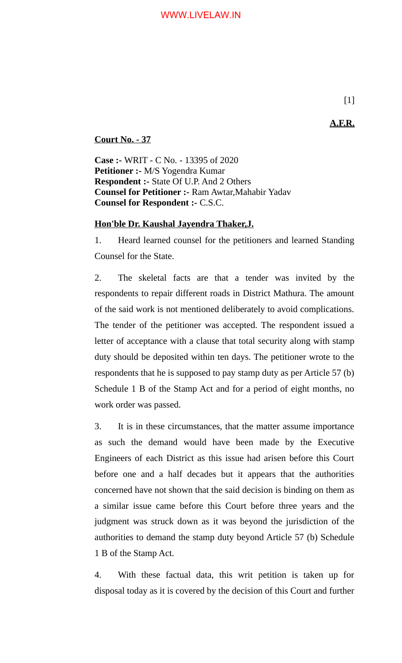**A.F.R.**

**Court No. - 37**

**Case :-** WRIT - C No. - 13395 of 2020 **Petitioner :-** M/S Yogendra Kumar **Respondent :-** State Of U.P. And 2 Others **Counsel for Petitioner :-** Ram Awtar,Mahabir Yadav **Counsel for Respondent :-** C.S.C.

## **Hon'ble Dr. Kaushal Jayendra Thaker,J.**

1. Heard learned counsel for the petitioners and learned Standing Counsel for the State.

2. The skeletal facts are that a tender was invited by the respondents to repair different roads in District Mathura. The amount of the said work is not mentioned deliberately to avoid complications. The tender of the petitioner was accepted. The respondent issued a letter of acceptance with a clause that total security along with stamp duty should be deposited within ten days. The petitioner wrote to the respondents that he is supposed to pay stamp duty as per Article 57 (b) Schedule 1 B of the Stamp Act and for a period of eight months, no work order was passed.

3. It is in these circumstances, that the matter assume importance as such the demand would have been made by the Executive Engineers of each District as this issue had arisen before this Court before one and a half decades but it appears that the authorities concerned have not shown that the said decision is binding on them as a similar issue came before this Court before three years and the judgment was struck down as it was beyond the jurisdiction of the authorities to demand the stamp duty beyond Article 57 (b) Schedule 1 B of the Stamp Act.

4. With these factual data, this writ petition is taken up for disposal today as it is covered by the decision of this Court and further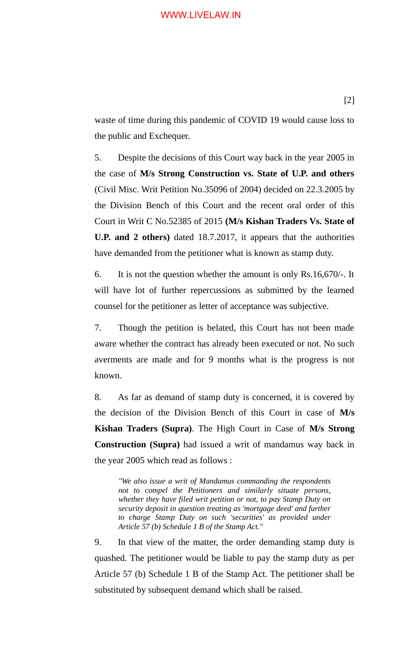## WWW.LIVELAW.IN

waste of time during this pandemic of COVID 19 would cause loss to the public and Exchequer.

5. Despite the decisions of this Court way back in the year 2005 in the case of **M/s Strong Construction vs. State of U.P. and others** (Civil Misc. Writ Petition No.35096 of 2004) decided on 22.3.2005 by the Division Bench of this Court and the recent oral order of this Court in Writ C No.52385 of 2015 **(M/s Kishan Traders Vs. State of U.P. and 2 others)** dated 18.7.2017, it appears that the authorities have demanded from the petitioner what is known as stamp duty.

6. It is not the question whether the amount is only Rs.16,670/-. It will have lot of further repercussions as submitted by the learned counsel for the petitioner as letter of acceptance was subjective.

7. Though the petition is belated, this Court has not been made aware whether the contract has already been executed or not. No such averments are made and for 9 months what is the progress is not known.

8. As far as demand of stamp duty is concerned, it is covered by the decision of the Division Bench of this Court in case of **M/s Kishan Traders (Supra)**. The High Court in Case of **M/s Strong Construction (Supra)** had issued a writ of mandamus way back in the year 2005 which read as follows :

*"We also issue a writ of Mandamus commanding the respondents not to compel the Petitioners and similarly situate persons, whether they have filed writ petition or not, to pay Stamp Duty on security deposit in question treating as 'mortgage deed' and further to charge Stamp Duty on such 'securities' as provided under Article 57 (b) Schedule 1 B of the Stamp Act."*

9. In that view of the matter, the order demanding stamp duty is quashed. The petitioner would be liable to pay the stamp duty as per Article 57 (b) Schedule 1 B of the Stamp Act. The petitioner shall be substituted by subsequent demand which shall be raised.